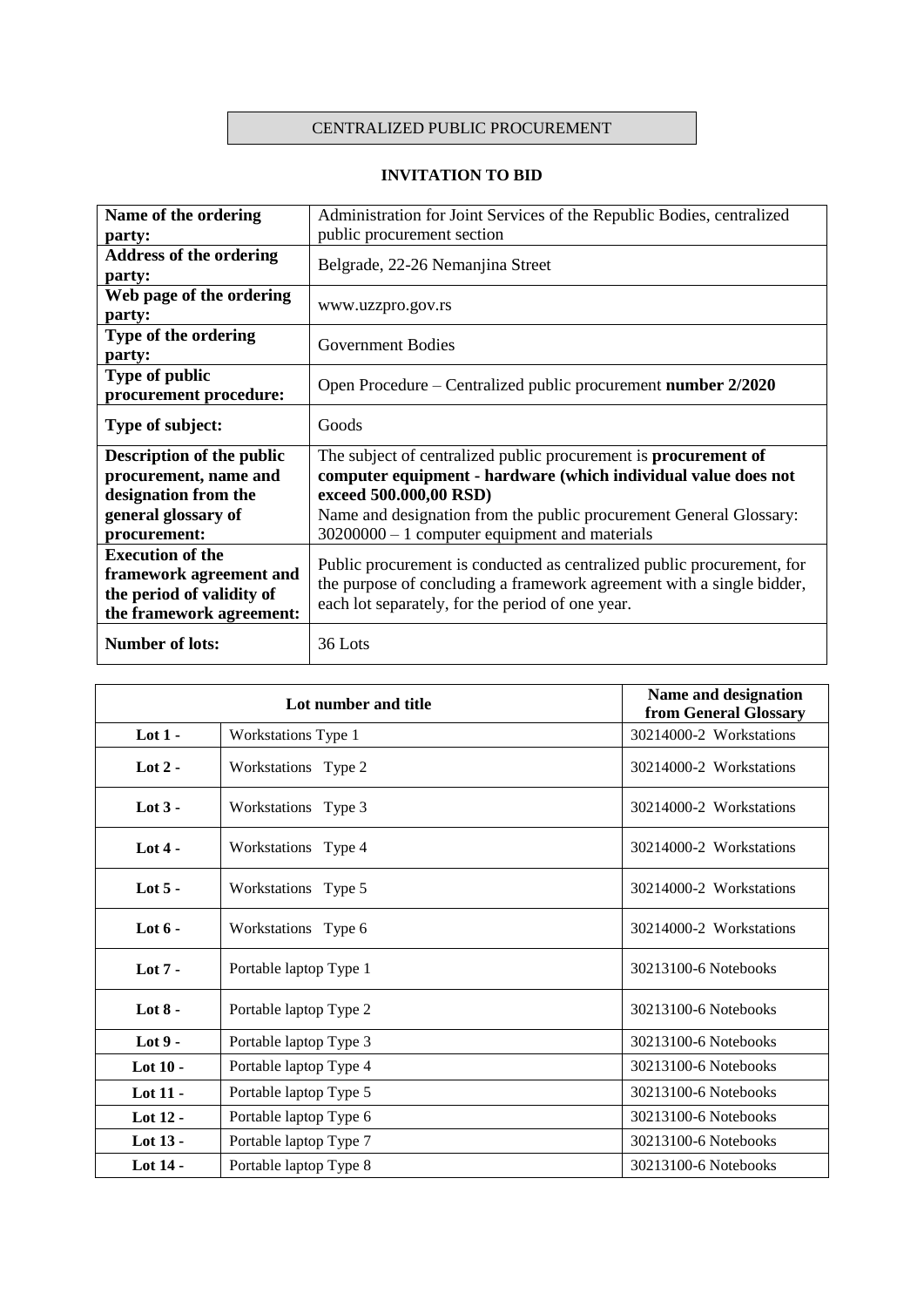## CENTRALIZED PUBLIC PROCUREMENT

## **INVITATION TO BID**

| Name of the ordering             | Administration for Joint Services of the Republic Bodies, centralized  |
|----------------------------------|------------------------------------------------------------------------|
| party:                           | public procurement section                                             |
| <b>Address of the ordering</b>   | Belgrade, 22-26 Nemanjina Street                                       |
| party:                           |                                                                        |
| Web page of the ordering         | www.uzzpro.gov.rs                                                      |
| party:                           |                                                                        |
| Type of the ordering             | <b>Government Bodies</b>                                               |
| party:                           |                                                                        |
| <b>Type of public</b>            | Open Procedure – Centralized public procurement number 2/2020          |
| procurement procedure:           |                                                                        |
| Type of subject:                 | Goods                                                                  |
|                                  |                                                                        |
| <b>Description of the public</b> | The subject of centralized public procurement is procurement of        |
| procurement, name and            | computer equipment - hardware (which individual value does not         |
| designation from the             | exceed 500.000,00 RSD)                                                 |
| general glossary of              | Name and designation from the public procurement General Glossary:     |
| procurement:                     | $30200000 - 1$ computer equipment and materials                        |
| <b>Execution of the</b>          | Public procurement is conducted as centralized public procurement, for |
| framework agreement and          | the purpose of concluding a framework agreement with a single bidder,  |
| the period of validity of        | each lot separately, for the period of one year.                       |
| the framework agreement:         |                                                                        |
| <b>Number of lots:</b>           | 36 Lots                                                                |

|            | Lot number and title   | Name and designation<br>from General Glossary |
|------------|------------------------|-----------------------------------------------|
| Lot $1 -$  | Workstations Type 1    | 30214000-2 Workstations                       |
| Lot $2 -$  | Workstations Type 2    | 30214000-2 Workstations                       |
| Lot $3 -$  | Workstations Type 3    | 30214000-2 Workstations                       |
| Lot $4-$   | Workstations Type 4    | 30214000-2 Workstations                       |
| Lot $5 -$  | Workstations Type 5    | 30214000-2 Workstations                       |
| Lot $6 -$  | Workstations Type 6    | 30214000-2 Workstations                       |
| Lot $7 -$  | Portable laptop Type 1 | 30213100-6 Notebooks                          |
| Lot $8 -$  | Portable laptop Type 2 | 30213100-6 Notebooks                          |
| Lot $9-$   | Portable laptop Type 3 | 30213100-6 Notebooks                          |
| Lot $10 -$ | Portable laptop Type 4 | 30213100-6 Notebooks                          |
| Lot $11 -$ | Portable laptop Type 5 | 30213100-6 Notebooks                          |
| Lot 12 -   | Portable laptop Type 6 | 30213100-6 Notebooks                          |
| Lot 13 -   | Portable laptop Type 7 | 30213100-6 Notebooks                          |
| Lot 14 -   | Portable laptop Type 8 | 30213100-6 Notebooks                          |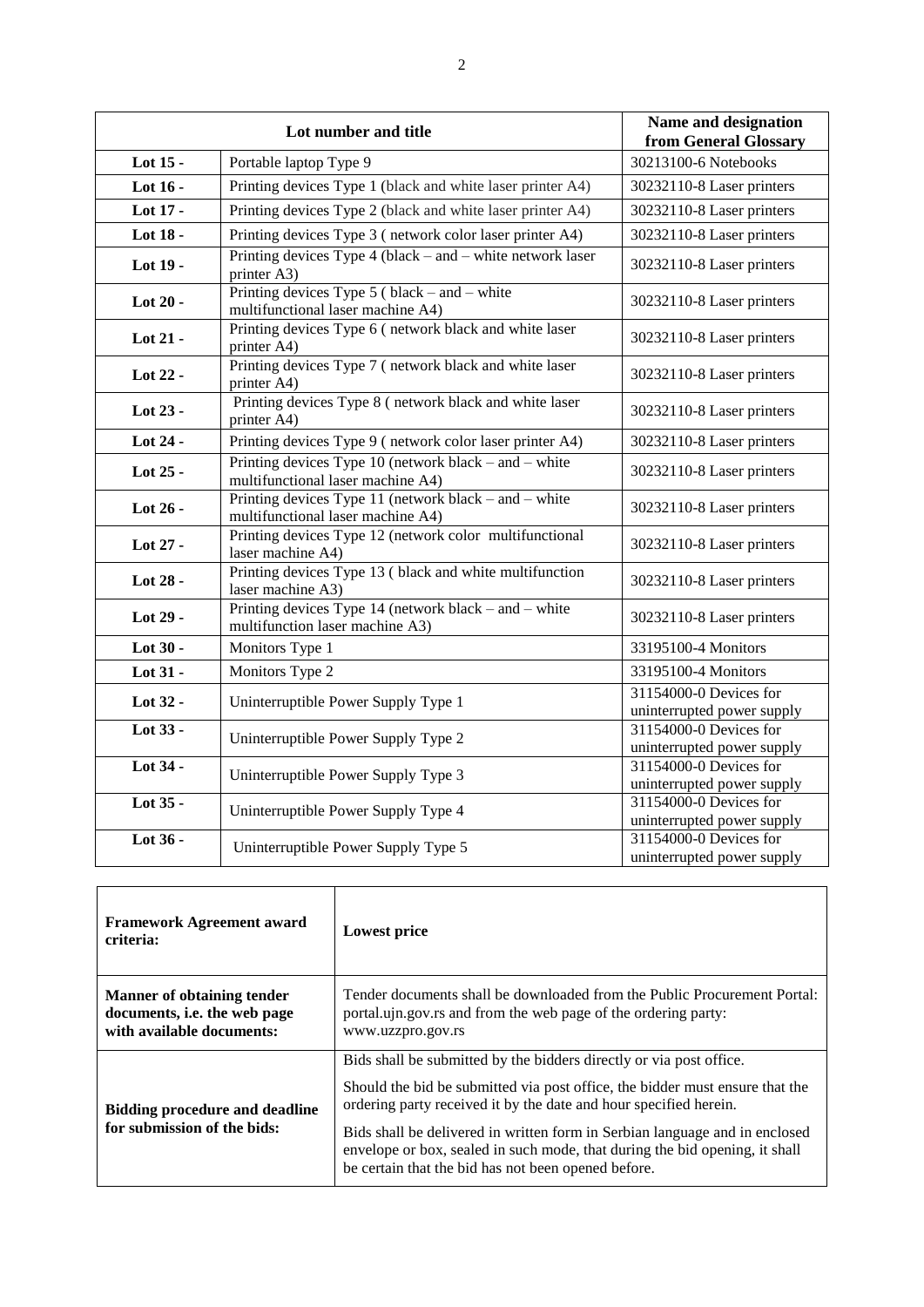|            | Lot number and title                                                                       | Name and designation<br>from General Glossary        |
|------------|--------------------------------------------------------------------------------------------|------------------------------------------------------|
| Lot 15 -   | Portable laptop Type 9                                                                     | 30213100-6 Notebooks                                 |
| Lot 16 -   | Printing devices Type 1 (black and white laser printer A4)                                 | 30232110-8 Laser printers                            |
| Lot 17 -   | Printing devices Type 2 (black and white laser printer A4)                                 | 30232110-8 Laser printers                            |
| Lot 18 -   | Printing devices Type 3 (network color laser printer A4)                                   | 30232110-8 Laser printers                            |
| Lot 19 -   | Printing devices Type $4$ (black – and – white network laser<br>printer A3)                | 30232110-8 Laser printers                            |
| Lot 20 -   | Printing devices Type $5$ (black – and – white<br>multifunctional laser machine A4)        | 30232110-8 Laser printers                            |
| Lot 21 -   | Printing devices Type 6 (network black and white laser<br>printer A4)                      | 30232110-8 Laser printers                            |
| Lot 22 -   | Printing devices Type 7 (network black and white laser<br>printer A4)                      | 30232110-8 Laser printers                            |
| Lot 23 -   | Printing devices Type 8 (network black and white laser<br>printer A4)                      | 30232110-8 Laser printers                            |
| Lot 24 -   | Printing devices Type 9 (network color laser printer A4)                                   | 30232110-8 Laser printers                            |
| Lot $25$ - | Printing devices Type 10 (network black – and – white<br>multifunctional laser machine A4) | 30232110-8 Laser printers                            |
| Lot 26 -   | Printing devices Type 11 (network black – and – white<br>multifunctional laser machine A4) | 30232110-8 Laser printers                            |
| Lot 27 -   | Printing devices Type 12 (network color multifunctional<br>laser machine A4)               | 30232110-8 Laser printers                            |
| Lot 28 -   | Printing devices Type 13 (black and white multifunction<br>laser machine A3)               | 30232110-8 Laser printers                            |
| Lot 29 -   | Printing devices Type $14$ (network black – and – white<br>multifunction laser machine A3) | 30232110-8 Laser printers                            |
| Lot 30 -   | Monitors Type 1                                                                            | 33195100-4 Monitors                                  |
| Lot 31 -   | Monitors Type 2                                                                            | 33195100-4 Monitors                                  |
| Lot 32 -   | Uninterruptible Power Supply Type 1                                                        | 31154000-0 Devices for<br>uninterrupted power supply |
| Lot 33 -   | Uninterruptible Power Supply Type 2                                                        | 31154000-0 Devices for<br>uninterrupted power supply |
| Lot 34 -   | Uninterruptible Power Supply Type 3                                                        | 31154000-0 Devices for<br>uninterrupted power supply |
| Lot 35 -   | Uninterruptible Power Supply Type 4                                                        | 31154000-0 Devices for<br>uninterrupted power supply |
| Lot 36 -   | Uninterruptible Power Supply Type 5                                                        | 31154000-0 Devices for<br>uninterrupted power supply |

| <b>Framework Agreement award</b><br>criteria:                                                  | Lowest price                                                                                                                                                                                                                                                                                                                                                                                                                                  |
|------------------------------------------------------------------------------------------------|-----------------------------------------------------------------------------------------------------------------------------------------------------------------------------------------------------------------------------------------------------------------------------------------------------------------------------------------------------------------------------------------------------------------------------------------------|
| <b>Manner of obtaining tender</b><br>documents, i.e. the web page<br>with available documents: | Tender documents shall be downloaded from the Public Procurement Portal:<br>portal up nine and from the web page of the ordering party:<br>www.uzzpro.gov.rs                                                                                                                                                                                                                                                                                  |
| <b>Bidding procedure and deadline</b><br>for submission of the bids:                           | Bids shall be submitted by the bidders directly or via post office.<br>Should the bid be submitted via post office, the bidder must ensure that the<br>ordering party received it by the date and hour specified herein.<br>Bids shall be delivered in written form in Serbian language and in enclosed<br>envelope or box, sealed in such mode, that during the bid opening, it shall<br>be certain that the bid has not been opened before. |